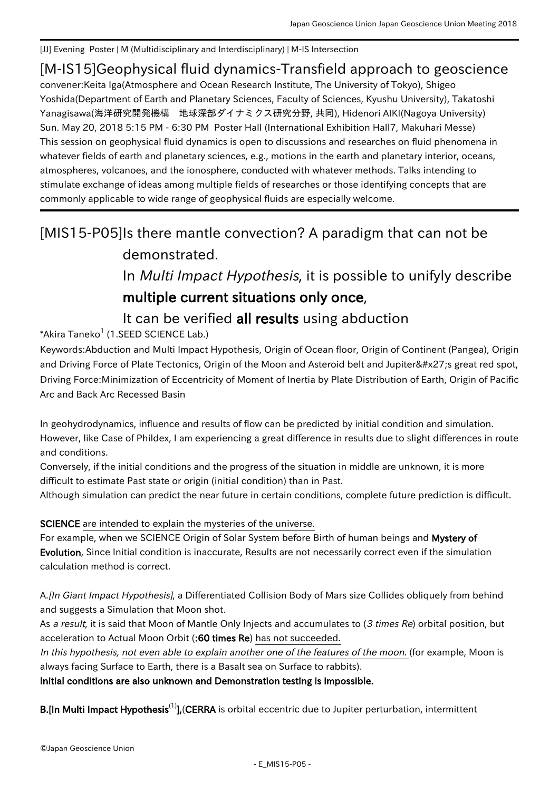[JJ] Evening Poster | M (Multidisciplinary and Interdisciplinary) | M-IS Intersection

### [M-IS15] Geophysical fluid dynamics-Transfield approach to geoscience

convener:Keita Iga(Atmosphere and Ocean Research Institute, The University of Tokyo), Shigeo Yoshida(Department of Earth and Planetary Sciences, Faculty of Sciences, Kyushu University), Takatoshi Yanagisawa(海洋研究開発機構 地球深部ダイナミクス研究分野, 共同), Hidenori AIKI(Nagoya University) Sun. May 20, 2018 5:15 PM - 6:30 PM Poster Hall (International Exhibition Hall7, Makuhari Messe) This session on geophysical fluid dynamics is open to discussions and researches on fluid phenomena in whatever fields of earth and planetary sciences, e.g., motions in the earth and planetary interior, oceans, atmospheres, volcanoes, and the ionosphere, conducted with whatever methods. Talks intending to stimulate exchange of ideas among multiple fields of researches or those identifying concepts that are commonly applicable to wide range of geophysical fluids are especially welcome.

# [MIS15-P05]Is there mantle convection? A paradigm that can not be demonstrated.

# In Multi Impact Hypothesis, it is possible to unifyly describe multiple current situations only once,

# It can be verified all results using abduction

 $^*$ Akira Taneko $^1$  (1.SEED SCIENCE Lab.)

Keywords:Abduction and Multi Impact Hypothesis, Origin of Ocean floor, Origin of Continent (Pangea), Origin and Driving Force of Plate Tectonics, Origin of the Moon and Asteroid belt and Jupiter's great red spot, Driving Force:Minimization of Eccentricity of Moment of Inertia by Plate Distribution of Earth, Origin of Pacific Arc and Back Arc Recessed Basin

In geohydrodynamics, influence and results of flow can be predicted by initial condition and simulation. However, like Case of Phildex, I am experiencing a great difference in results due to slight differences in route and conditions.

Conversely, if the initial conditions and the progress of the situation in middle are unknown, it is more difficult to estimate Past state or origin (initial condition) than in Past.

Although simulation can predict the near future in certain conditions, complete future prediction is difficult.

SCIENCE are intended to explain the mysteries of the universe.

For example, when we SCIENCE Origin of Solar System before Birth of human beings and Mystery of Evolution, Since Initial condition is inaccurate, Results are not necessarily correct even if the simulation calculation method is correct.

A.[In Giant Impact Hypothesis], a Differentiated Collision Body of Mars size Collides obliquely from behind and suggests a Simulation that Moon shot.

As a result, it is said that Moon of Mantle Only Injects and accumulates to (3 times Re) orbital position, but acceleration to Actual Moon Orbit (:60 times Re) has not succeeded.

In this hypothesis, not even able to explain another one of the features of the moon. (for example, Moon is always facing Surface to Earth, there is a Basalt sea on Surface to rabbits).

#### Initial conditions are also unknown and Demonstration testing is impossible.

**B.**[In Multi Impact Hypothesis<sup>(1)</sup>], (CERRA is orbital eccentric due to Jupiter perturbation, intermittent